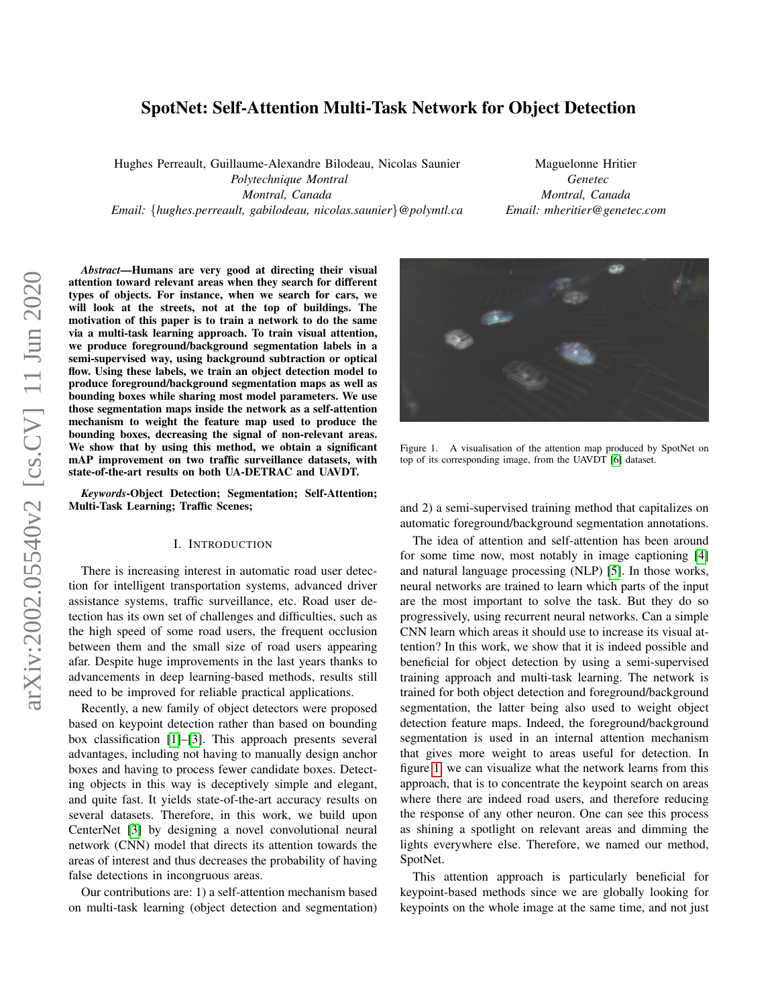# SpotNet: Self-Attention Multi-Task Network for Object Detection

Hughes Perreault, Guillaume-Alexandre Bilodeau, Nicolas Saunier *Polytechnique Montral Montral, Canada Email:* {*hughes.perreault, gabilodeau, nicolas.saunier*}*@polymtl.ca*

Maguelonne Hritier *Genetec Montral, Canada Email: mheritier@genetec.com*

*Abstract*—Humans are very good at directing their visual attention toward relevant areas when they search for different types of objects. For instance, when we search for cars, we will look at the streets, not at the top of buildings. The motivation of this paper is to train a network to do the same via a multi-task learning approach. To train visual attention, we produce foreground/background segmentation labels in a semi-supervised way, using background subtraction or optical flow. Using these labels, we train an object detection model to produce foreground/background segmentation maps as well as bounding boxes while sharing most model parameters. We use those segmentation maps inside the network as a self-attention mechanism to weight the feature map used to produce the bounding boxes, decreasing the signal of non-relevant areas. We show that by using this method, we obtain a significant mAP improvement on two traffic surveillance datasets, with state-of-the-art results on both UA-DETRAC and UAVDT.

*Keywords*-Object Detection; Segmentation; Self-Attention; Multi-Task Learning; Traffic Scenes;

## I. INTRODUCTION

There is increasing interest in automatic road user detection for intelligent transportation systems, advanced driver assistance systems, traffic surveillance, etc. Road user detection has its own set of challenges and difficulties, such as the high speed of some road users, the frequent occlusion between them and the small size of road users appearing afar. Despite huge improvements in the last years thanks to advancements in deep learning-based methods, results still need to be improved for reliable practical applications.

Recently, a new family of object detectors were proposed based on keypoint detection rather than based on bounding box classification [\[1\]](#page-6-0)–[\[3\]](#page-6-1). This approach presents several advantages, including not having to manually design anchor boxes and having to process fewer candidate boxes. Detecting objects in this way is deceptively simple and elegant, and quite fast. It yields state-of-the-art accuracy results on several datasets. Therefore, in this work, we build upon CenterNet [\[3\]](#page-6-1) by designing a novel convolutional neural network (CNN) model that directs its attention towards the areas of interest and thus decreases the probability of having false detections in incongruous areas.

Our contributions are: 1) a self-attention mechanism based on multi-task learning (object detection and segmentation)

<span id="page-0-0"></span>Figure 1. A visualisation of the attention map produced by SpotNet on top of its corresponding image, from the UAVDT [\[6\]](#page-6-2) dataset.

and 2) a semi-supervised training method that capitalizes on automatic foreground/background segmentation annotations.

The idea of attention and self-attention has been around for some time now, most notably in image captioning [\[4\]](#page-6-3) and natural language processing (NLP) [\[5\]](#page-6-4). In those works, neural networks are trained to learn which parts of the input are the most important to solve the task. But they do so progressively, using recurrent neural networks. Can a simple CNN learn which areas it should use to increase its visual attention? In this work, we show that it is indeed possible and beneficial for object detection by using a semi-supervised training approach and multi-task learning. The network is trained for both object detection and foreground/background segmentation, the latter being also used to weight object detection feature maps. Indeed, the foreground/background segmentation is used in an internal attention mechanism that gives more weight to areas useful for detection. In figure [1,](#page-0-0) we can visualize what the network learns from this approach, that is to concentrate the keypoint search on areas where there are indeed road users, and therefore reducing the response of any other neuron. One can see this process as shining a spotlight on relevant areas and dimming the lights everywhere else. Therefore, we named our method, SpotNet.

This attention approach is particularly beneficial for keypoint-based methods since we are globally looking for keypoints on the whole image at the same time, and not just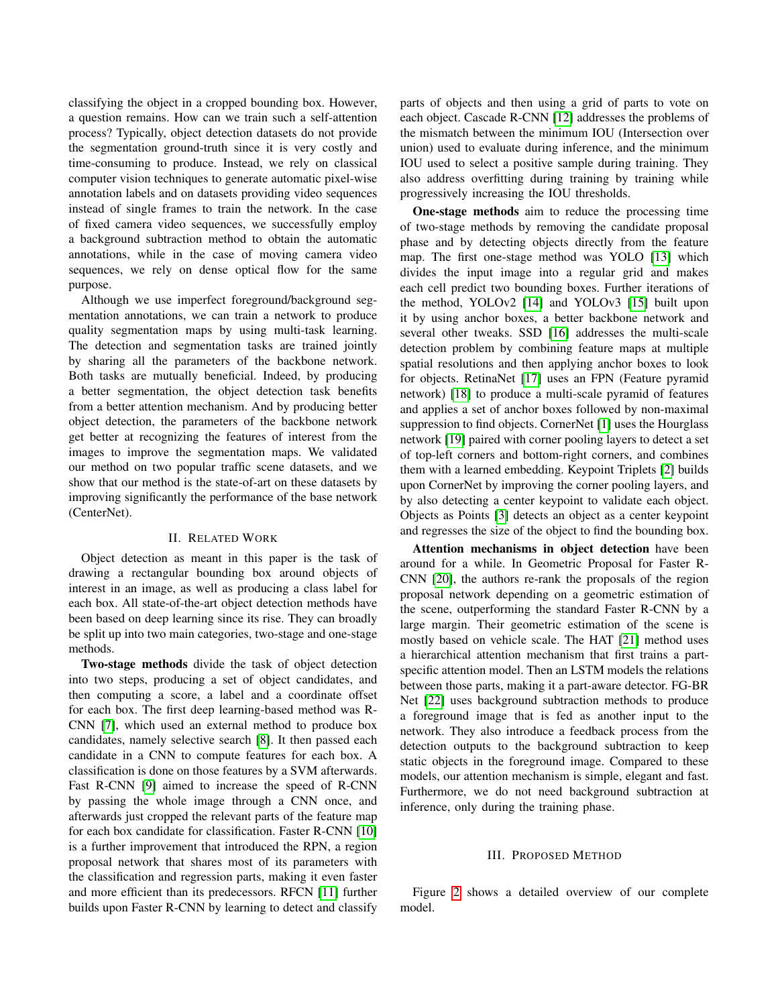classifying the object in a cropped bounding box. However, a question remains. How can we train such a self-attention process? Typically, object detection datasets do not provide the segmentation ground-truth since it is very costly and time-consuming to produce. Instead, we rely on classical computer vision techniques to generate automatic pixel-wise annotation labels and on datasets providing video sequences instead of single frames to train the network. In the case of fixed camera video sequences, we successfully employ a background subtraction method to obtain the automatic annotations, while in the case of moving camera video sequences, we rely on dense optical flow for the same purpose.

Although we use imperfect foreground/background segmentation annotations, we can train a network to produce quality segmentation maps by using multi-task learning. The detection and segmentation tasks are trained jointly by sharing all the parameters of the backbone network. Both tasks are mutually beneficial. Indeed, by producing a better segmentation, the object detection task benefits from a better attention mechanism. And by producing better object detection, the parameters of the backbone network get better at recognizing the features of interest from the images to improve the segmentation maps. We validated our method on two popular traffic scene datasets, and we show that our method is the state-of-art on these datasets by improving significantly the performance of the base network (CenterNet).

# II. RELATED WORK

Object detection as meant in this paper is the task of drawing a rectangular bounding box around objects of interest in an image, as well as producing a class label for each box. All state-of-the-art object detection methods have been based on deep learning since its rise. They can broadly be split up into two main categories, two-stage and one-stage methods.

Two-stage methods divide the task of object detection into two steps, producing a set of object candidates, and then computing a score, a label and a coordinate offset for each box. The first deep learning-based method was R-CNN [\[7\]](#page-6-5), which used an external method to produce box candidates, namely selective search [\[8\]](#page-6-6). It then passed each candidate in a CNN to compute features for each box. A classification is done on those features by a SVM afterwards. Fast R-CNN [\[9\]](#page-6-7) aimed to increase the speed of R-CNN by passing the whole image through a CNN once, and afterwards just cropped the relevant parts of the feature map for each box candidate for classification. Faster R-CNN [\[10\]](#page-6-8) is a further improvement that introduced the RPN, a region proposal network that shares most of its parameters with the classification and regression parts, making it even faster and more efficient than its predecessors. RFCN [\[11\]](#page-6-9) further builds upon Faster R-CNN by learning to detect and classify parts of objects and then using a grid of parts to vote on each object. Cascade R-CNN [\[12\]](#page-6-10) addresses the problems of the mismatch between the minimum IOU (Intersection over union) used to evaluate during inference, and the minimum IOU used to select a positive sample during training. They also address overfitting during training by training while progressively increasing the IOU thresholds.

One-stage methods aim to reduce the processing time of two-stage methods by removing the candidate proposal phase and by detecting objects directly from the feature map. The first one-stage method was YOLO [\[13\]](#page-6-11) which divides the input image into a regular grid and makes each cell predict two bounding boxes. Further iterations of the method, YOLOv2 [\[14\]](#page-6-12) and YOLOv3 [\[15\]](#page-6-13) built upon it by using anchor boxes, a better backbone network and several other tweaks. SSD [\[16\]](#page-7-0) addresses the multi-scale detection problem by combining feature maps at multiple spatial resolutions and then applying anchor boxes to look for objects. RetinaNet [\[17\]](#page-7-1) uses an FPN (Feature pyramid network) [\[18\]](#page-7-2) to produce a multi-scale pyramid of features and applies a set of anchor boxes followed by non-maximal suppression to find objects. CornerNet [\[1\]](#page-6-0) uses the Hourglass network [\[19\]](#page-7-3) paired with corner pooling layers to detect a set of top-left corners and bottom-right corners, and combines them with a learned embedding. Keypoint Triplets [\[2\]](#page-6-14) builds upon CornerNet by improving the corner pooling layers, and by also detecting a center keypoint to validate each object. Objects as Points [\[3\]](#page-6-1) detects an object as a center keypoint and regresses the size of the object to find the bounding box.

Attention mechanisms in object detection have been around for a while. In Geometric Proposal for Faster R-CNN [\[20\]](#page-7-4), the authors re-rank the proposals of the region proposal network depending on a geometric estimation of the scene, outperforming the standard Faster R-CNN by a large margin. Their geometric estimation of the scene is mostly based on vehicle scale. The HAT [\[21\]](#page-7-5) method uses a hierarchical attention mechanism that first trains a partspecific attention model. Then an LSTM models the relations between those parts, making it a part-aware detector. FG-BR Net [\[22\]](#page-7-6) uses background subtraction methods to produce a foreground image that is fed as another input to the network. They also introduce a feedback process from the detection outputs to the background subtraction to keep static objects in the foreground image. Compared to these models, our attention mechanism is simple, elegant and fast. Furthermore, we do not need background subtraction at inference, only during the training phase.

#### III. PROPOSED METHOD

Figure [2](#page-2-0) shows a detailed overview of our complete model.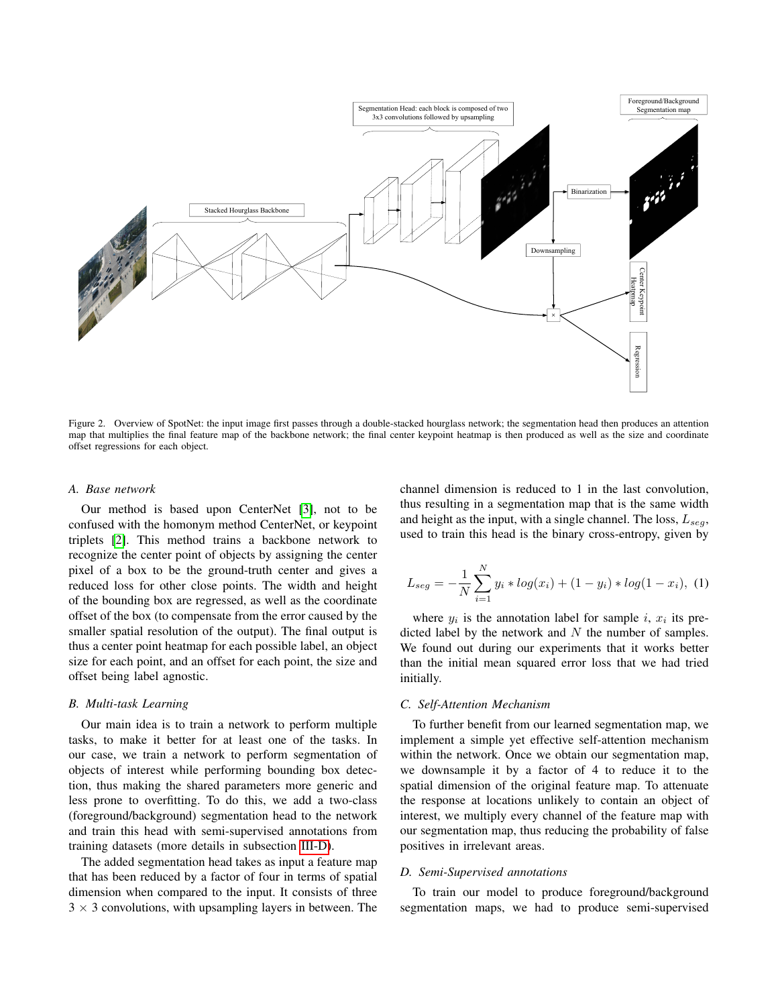

<span id="page-2-0"></span>Figure 2. Overview of SpotNet: the input image first passes through a double-stacked hourglass network; the segmentation head then produces an attention map that multiplies the final feature map of the backbone network; the final center keypoint heatmap is then produced as well as the size and coordinate offset regressions for each object.

#### *A. Base network*

Our method is based upon CenterNet [\[3\]](#page-6-1), not to be confused with the homonym method CenterNet, or keypoint triplets [\[2\]](#page-6-14). This method trains a backbone network to recognize the center point of objects by assigning the center pixel of a box to be the ground-truth center and gives a reduced loss for other close points. The width and height of the bounding box are regressed, as well as the coordinate offset of the box (to compensate from the error caused by the smaller spatial resolution of the output). The final output is thus a center point heatmap for each possible label, an object size for each point, and an offset for each point, the size and offset being label agnostic.

# *B. Multi-task Learning*

Our main idea is to train a network to perform multiple tasks, to make it better for at least one of the tasks. In our case, we train a network to perform segmentation of objects of interest while performing bounding box detection, thus making the shared parameters more generic and less prone to overfitting. To do this, we add a two-class (foreground/background) segmentation head to the network and train this head with semi-supervised annotations from training datasets (more details in subsection [III-D\)](#page-2-1).

The added segmentation head takes as input a feature map that has been reduced by a factor of four in terms of spatial dimension when compared to the input. It consists of three  $3 \times 3$  convolutions, with upsampling layers in between. The channel dimension is reduced to 1 in the last convolution, thus resulting in a segmentation map that is the same width and height as the input, with a single channel. The loss,  $L_{sea}$ , used to train this head is the binary cross-entropy, given by

<span id="page-2-2"></span>
$$
L_{seg} = -\frac{1}{N} \sum_{i=1}^{N} y_i * log(x_i) + (1 - y_i) * log(1 - x_i),
$$
 (1)

where  $y_i$  is the annotation label for sample i,  $x_i$  its predicted label by the network and  $N$  the number of samples. We found out during our experiments that it works better than the initial mean squared error loss that we had tried initially.

# *C. Self-Attention Mechanism*

To further benefit from our learned segmentation map, we implement a simple yet effective self-attention mechanism within the network. Once we obtain our segmentation map, we downsample it by a factor of 4 to reduce it to the spatial dimension of the original feature map. To attenuate the response at locations unlikely to contain an object of interest, we multiply every channel of the feature map with our segmentation map, thus reducing the probability of false positives in irrelevant areas.

### <span id="page-2-1"></span>*D. Semi-Supervised annotations*

To train our model to produce foreground/background segmentation maps, we had to produce semi-supervised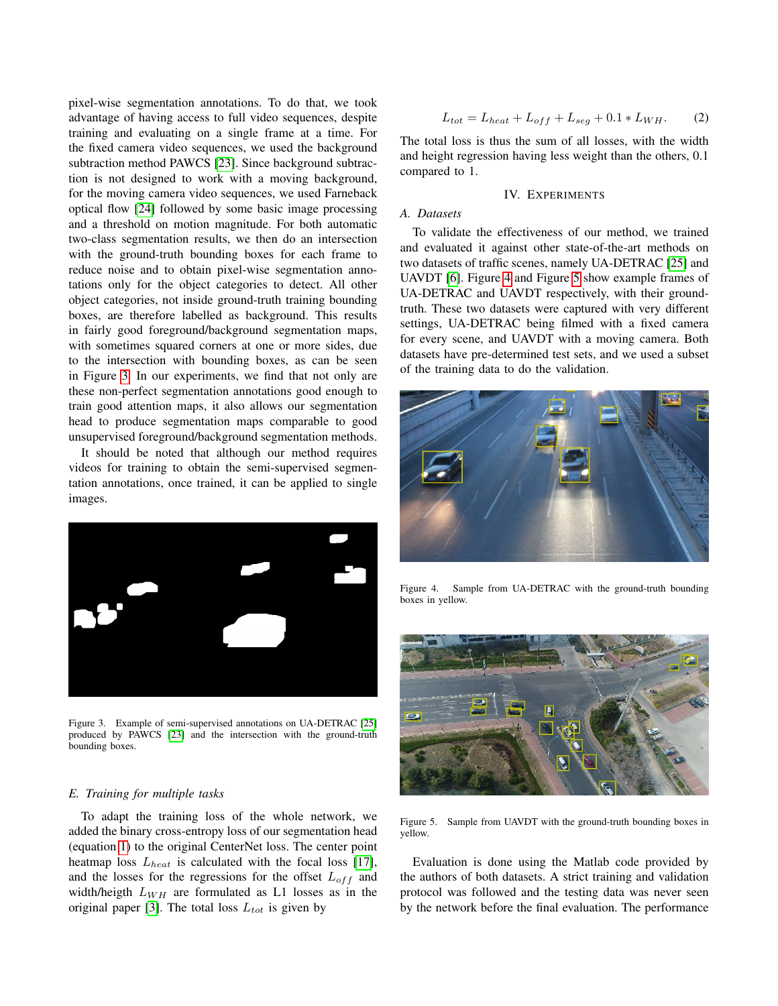pixel-wise segmentation annotations. To do that, we took advantage of having access to full video sequences, despite training and evaluating on a single frame at a time. For the fixed camera video sequences, we used the background subtraction method PAWCS [\[23\]](#page-7-7). Since background subtraction is not designed to work with a moving background, for the moving camera video sequences, we used Farneback optical flow [\[24\]](#page-7-8) followed by some basic image processing and a threshold on motion magnitude. For both automatic two-class segmentation results, we then do an intersection with the ground-truth bounding boxes for each frame to reduce noise and to obtain pixel-wise segmentation annotations only for the object categories to detect. All other object categories, not inside ground-truth training bounding boxes, are therefore labelled as background. This results in fairly good foreground/background segmentation maps, with sometimes squared corners at one or more sides, due to the intersection with bounding boxes, as can be seen in Figure [3.](#page-3-0) In our experiments, we find that not only are these non-perfect segmentation annotations good enough to train good attention maps, it also allows our segmentation head to produce segmentation maps comparable to good unsupervised foreground/background segmentation methods.

It should be noted that although our method requires videos for training to obtain the semi-supervised segmentation annotations, once trained, it can be applied to single images.



Figure 3. Example of semi-supervised annotations on UA-DETRAC [\[25\]](#page-7-9) produced by PAWCS [\[23\]](#page-7-7) and the intersection with the ground-truth bounding boxes.

#### <span id="page-3-0"></span>*E. Training for multiple tasks*

To adapt the training loss of the whole network, we added the binary cross-entropy loss of our segmentation head (equation [1\)](#page-2-2) to the original CenterNet loss. The center point heatmap loss  $L_{heat}$  is calculated with the focal loss [\[17\]](#page-7-1), and the losses for the regressions for the offset  $L_{off}$  and width/heigth  $L_{WH}$  are formulated as L1 losses as in the original paper [\[3\]](#page-6-1). The total loss  $L_{tot}$  is given by

$$
L_{tot} = L_{heat} + L_{off} + L_{seg} + 0.1 * L_{WH}.
$$
 (2)

The total loss is thus the sum of all losses, with the width and height regression having less weight than the others, 0.1 compared to 1.

#### IV. EXPERIMENTS

#### *A. Datasets*

To validate the effectiveness of our method, we trained and evaluated it against other state-of-the-art methods on two datasets of traffic scenes, namely UA-DETRAC [\[25\]](#page-7-9) and UAVDT [\[6\]](#page-6-2). Figure [4](#page-3-1) and Figure [5](#page-3-2) show example frames of UA-DETRAC and UAVDT respectively, with their groundtruth. These two datasets were captured with very different settings, UA-DETRAC being filmed with a fixed camera for every scene, and UAVDT with a moving camera. Both datasets have pre-determined test sets, and we used a subset of the training data to do the validation.



Figure 4. Sample from UA-DETRAC with the ground-truth bounding boxes in yellow.

<span id="page-3-1"></span>

Figure 5. Sample from UAVDT with the ground-truth bounding boxes in yellow.

<span id="page-3-2"></span>Evaluation is done using the Matlab code provided by the authors of both datasets. A strict training and validation protocol was followed and the testing data was never seen by the network before the final evaluation. The performance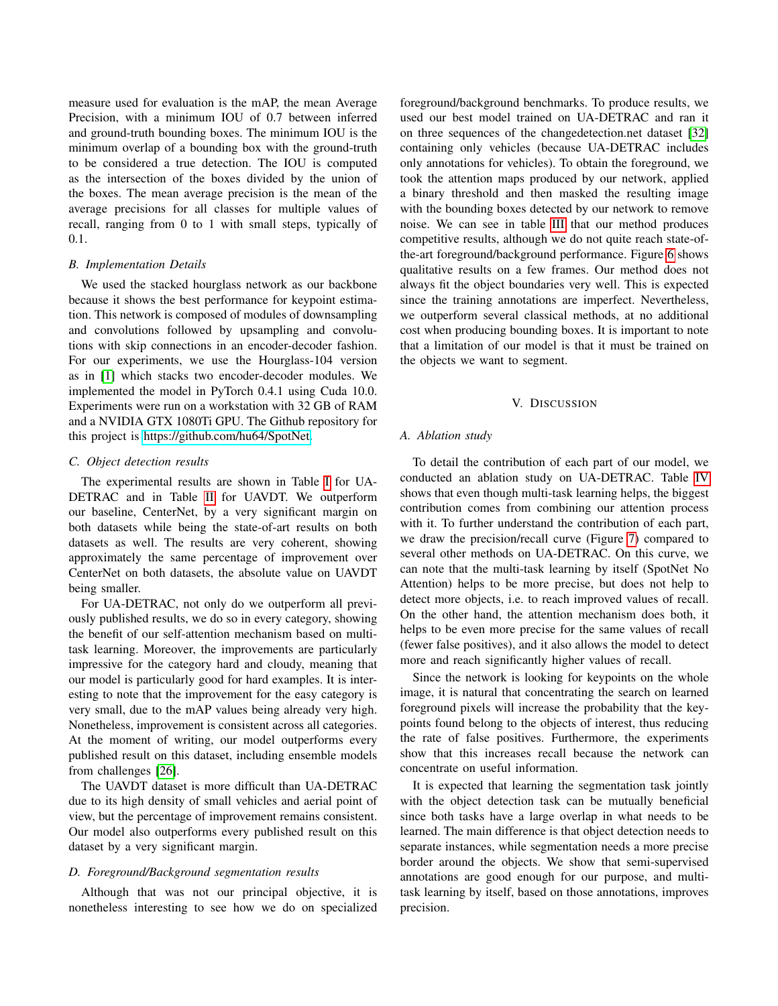measure used for evaluation is the mAP, the mean Average Precision, with a minimum IOU of 0.7 between inferred and ground-truth bounding boxes. The minimum IOU is the minimum overlap of a bounding box with the ground-truth to be considered a true detection. The IOU is computed as the intersection of the boxes divided by the union of the boxes. The mean average precision is the mean of the average precisions for all classes for multiple values of recall, ranging from 0 to 1 with small steps, typically of 0.1.

# *B. Implementation Details*

We used the stacked hourglass network as our backbone because it shows the best performance for keypoint estimation. This network is composed of modules of downsampling and convolutions followed by upsampling and convolutions with skip connections in an encoder-decoder fashion. For our experiments, we use the Hourglass-104 version as in [\[1\]](#page-6-0) which stacks two encoder-decoder modules. We implemented the model in PyTorch 0.4.1 using Cuda 10.0. Experiments were run on a workstation with 32 GB of RAM and a NVIDIA GTX 1080Ti GPU. The Github repository for this project is [https://github.com/hu64/SpotNet.](https://github.com/hu64/SpotNet)

# *C. Object detection results*

The experimental results are shown in Table [I](#page-5-0) for UA-DETRAC and in Table [II](#page-5-1) for UAVDT. We outperform our baseline, CenterNet, by a very significant margin on both datasets while being the state-of-art results on both datasets as well. The results are very coherent, showing approximately the same percentage of improvement over CenterNet on both datasets, the absolute value on UAVDT being smaller.

For UA-DETRAC, not only do we outperform all previously published results, we do so in every category, showing the benefit of our self-attention mechanism based on multitask learning. Moreover, the improvements are particularly impressive for the category hard and cloudy, meaning that our model is particularly good for hard examples. It is interesting to note that the improvement for the easy category is very small, due to the mAP values being already very high. Nonetheless, improvement is consistent across all categories. At the moment of writing, our model outperforms every published result on this dataset, including ensemble models from challenges [\[26\]](#page-7-10).

The UAVDT dataset is more difficult than UA-DETRAC due to its high density of small vehicles and aerial point of view, but the percentage of improvement remains consistent. Our model also outperforms every published result on this dataset by a very significant margin.

# *D. Foreground/Background segmentation results*

Although that was not our principal objective, it is nonetheless interesting to see how we do on specialized foreground/background benchmarks. To produce results, we used our best model trained on UA-DETRAC and ran it on three sequences of the changedetection.net dataset [\[32\]](#page-7-11) containing only vehicles (because UA-DETRAC includes only annotations for vehicles). To obtain the foreground, we took the attention maps produced by our network, applied a binary threshold and then masked the resulting image with the bounding boxes detected by our network to remove noise. We can see in table [III](#page-5-2) that our method produces competitive results, although we do not quite reach state-ofthe-art foreground/background performance. Figure [6](#page-5-3) shows qualitative results on a few frames. Our method does not always fit the object boundaries very well. This is expected since the training annotations are imperfect. Nevertheless, we outperform several classical methods, at no additional cost when producing bounding boxes. It is important to note that a limitation of our model is that it must be trained on the objects we want to segment.

### V. DISCUSSION

#### *A. Ablation study*

To detail the contribution of each part of our model, we conducted an ablation study on UA-DETRAC. Table [IV](#page-6-15) shows that even though multi-task learning helps, the biggest contribution comes from combining our attention process with it. To further understand the contribution of each part, we draw the precision/recall curve (Figure [7\)](#page-6-16) compared to several other methods on UA-DETRAC. On this curve, we can note that the multi-task learning by itself (SpotNet No Attention) helps to be more precise, but does not help to detect more objects, i.e. to reach improved values of recall. On the other hand, the attention mechanism does both, it helps to be even more precise for the same values of recall (fewer false positives), and it also allows the model to detect more and reach significantly higher values of recall.

Since the network is looking for keypoints on the whole image, it is natural that concentrating the search on learned foreground pixels will increase the probability that the keypoints found belong to the objects of interest, thus reducing the rate of false positives. Furthermore, the experiments show that this increases recall because the network can concentrate on useful information.

It is expected that learning the segmentation task jointly with the object detection task can be mutually beneficial since both tasks have a large overlap in what needs to be learned. The main difference is that object detection needs to separate instances, while segmentation needs a more precise border around the objects. We show that semi-supervised annotations are good enough for our purpose, and multitask learning by itself, based on those annotations, improves precision.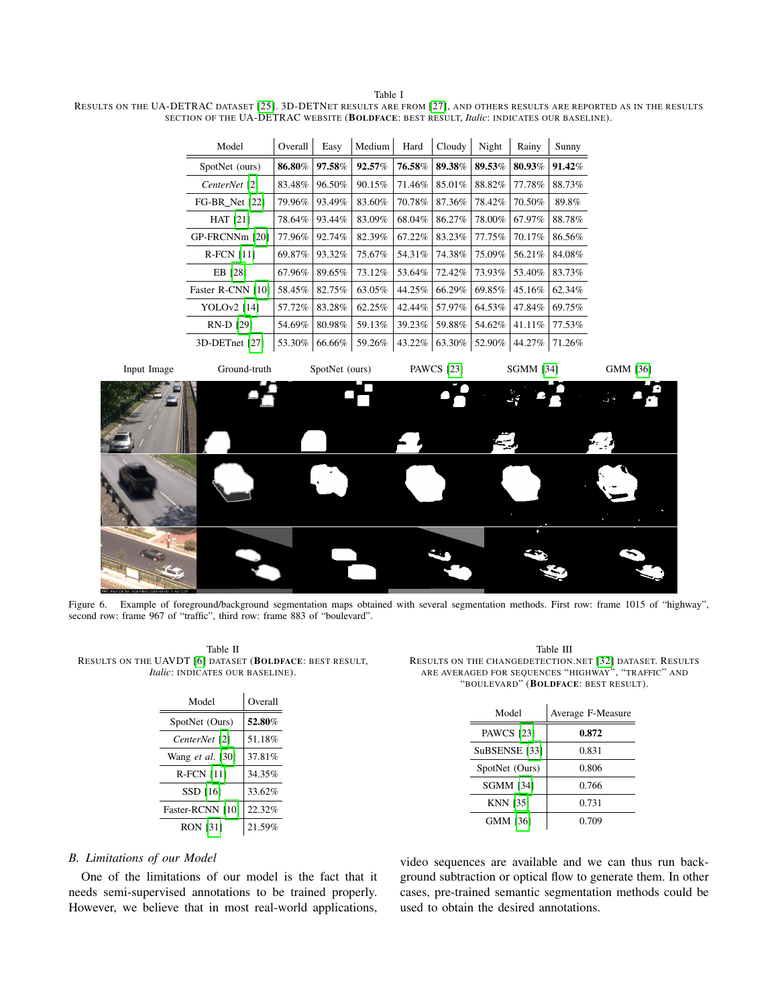<span id="page-5-0"></span>Table I RESULTS ON THE UA-DETRAC DATASET [\[25\]](#page-7-9). 3D-DETNET RESULTS ARE FROM [\[27\]](#page-7-12), AND OTHERS RESULTS ARE REPORTED AS IN THE RESULTS SECTION OF THE UA-DETRAC WEBSITE (BOLDFACE: BEST RESULT, *Italic*: INDICATES OUR BASELINE).

| Model              | Overall | Easy   | Medium | Hard   | Cloudy | Night  | Rainy  | Sunny  |
|--------------------|---------|--------|--------|--------|--------|--------|--------|--------|
| SpotNet (ours)     | 86.80%  | 97.58% | 92.57% | 76.58% | 89.38% | 89.53% | 80.93% | 91.42% |
| CenterNet [2]      | 83.48%  | 96.50% | 90.15% | 71.46% | 85.01% | 88.82% | 77.78% | 88.73% |
| $FG-BR$ Net $[22]$ | 79.96%  | 93.49% | 83.60% | 70.78% | 87.36% | 78.42% | 70.50% | 89.8%  |
| <b>HAT</b> [21]    | 78.64%  | 93.44% | 83.09% | 68.04% | 86.27% | 78.00% | 67.97% | 88.78% |
| GP-FRCNNm [20]     | 77.96%  | 92.74% | 82.39% | 67.22% | 83.23% | 77.75% | 70.17% | 86.56% |
| <b>R-FCN</b> [11]  | 69.87%  | 93.32% | 75.67% | 54.31% | 74.38% | 75.09% | 56.21% | 84.08% |
| EB [28]            | 67.96%  | 89.65% | 73.12% | 53.64% | 72.42% | 73.93% | 53.40% | 83.73% |
| Faster R-CNN [10]  | 58.45%  | 82.75% | 63.05% | 44.25% | 66.29% | 69.85% | 45.16% | 62.34% |
| <b>YOLOv2</b> [14] | 57.72%  | 83.28% | 62.25% | 42.44% | 57.97% | 64.53% | 47.84% | 69.75% |
| RN-D [29]          | 54.69%  | 80.98% | 59.13% | 39.23% | 59.88% | 54.62% | 41.11% | 77.53% |
| 3D-DETnet [27]     | 53.30%  | 66.66% | 59.26% | 43.22% | 63.30% | 52.90% | 44.27% | 71.26% |



<span id="page-5-3"></span>Figure 6. Example of foreground/background segmentation maps obtained with several segmentation methods. First row: frame 1015 of "highway", second row: frame 967 of "traffic", third row: frame 883 of "boulevard".

<span id="page-5-1"></span>Table II RESULTS ON THE UAVDT [\[6\]](#page-6-2) DATASET (BOLDFACE: BEST RESULT, *Italic*: INDICATES OUR BASELINE).

| Model             | Overall |  |  |
|-------------------|---------|--|--|
| SpotNet (Ours)    | 52.80%  |  |  |
| CenterNet [2]     | 51.18%  |  |  |
| Wang et al. [30]  | 37.81%  |  |  |
| <b>R-FCN</b> [11] | 34.35%  |  |  |
| SSD [16]          | 33.62%  |  |  |
| Faster-RCNN [10]  | 22.32%  |  |  |
| <b>RON [31]</b>   | 21.59%  |  |  |

<span id="page-5-2"></span>Table III RESULTS ON THE CHANGEDETECTION.NET [\[32\]](#page-7-11) DATASET. RESULTS ARE AVERAGED FOR SEQUENCES "HIGHWAY", "TRAFFIC" AND "BOULEVARD" (BOLDFACE: BEST RESULT).

| Model             | Average F-Measure |
|-------------------|-------------------|
| <b>PAWCS</b> [23] | 0.872             |
| SuBSENSE [33]     | 0.831             |
| SpotNet (Ours)    | 0.806             |
| <b>SGMM [34]</b>  | 0.766             |
| <b>KNN</b> [35]   | 0.731             |
| GMM [36]          | 0.709             |

# *B. Limitations of our Model*

One of the limitations of our model is the fact that it needs semi-supervised annotations to be trained properly. However, we believe that in most real-world applications, video sequences are available and we can thus run background subtraction or optical flow to generate them. In other cases, pre-trained semantic segmentation methods could be used to obtain the desired annotations.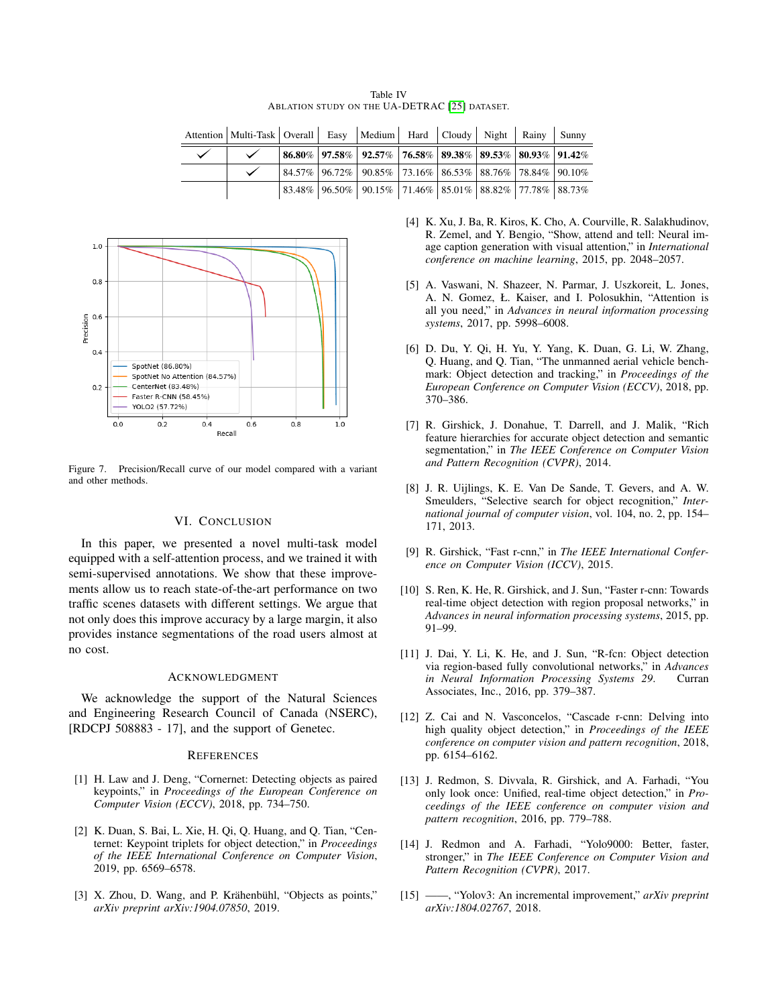Table IV ABLATION STUDY ON THE UA-DETRAC [\[25\]](#page-7-9) DATASET.

 $\mathbf{r}$ 

<span id="page-6-15"></span>

| Attention   Multi-Task   Overall   Easy   Medium   Hard   Cloudy   Night   Rainy   Sunny |  |                                                                                                                           |  |  |  |
|------------------------------------------------------------------------------------------|--|---------------------------------------------------------------------------------------------------------------------------|--|--|--|
|                                                                                          |  | $\mid 86.80\% \mid 97.58\% \mid 92.57\% \mid 76.58\% \mid 89.38\% \mid 89.53\% \mid 80.93\% \mid 91.42\% \mid$            |  |  |  |
|                                                                                          |  | $84.57\%$   96.72%   90.85%   73.16%   86.53%   88.76%   78.84%   90.10%                                                  |  |  |  |
|                                                                                          |  | $\vert 83.48\% \vert 96.50\% \vert 90.15\% \vert 71.46\% \vert 85.01\% \vert 88.82\% \vert 77.78\% \vert 88.73\% \rangle$ |  |  |  |



<span id="page-6-16"></span>Figure 7. Precision/Recall curve of our model compared with a variant and other methods.

# VI. CONCLUSION

In this paper, we presented a novel multi-task model equipped with a self-attention process, and we trained it with semi-supervised annotations. We show that these improvements allow us to reach state-of-the-art performance on two traffic scenes datasets with different settings. We argue that not only does this improve accuracy by a large margin, it also provides instance segmentations of the road users almost at no cost.

# ACKNOWLEDGMENT

We acknowledge the support of the Natural Sciences and Engineering Research Council of Canada (NSERC), [RDCPJ 508883 - 17], and the support of Genetec.

#### **REFERENCES**

- <span id="page-6-0"></span>[1] H. Law and J. Deng, "Cornernet: Detecting objects as paired keypoints," in *Proceedings of the European Conference on Computer Vision (ECCV)*, 2018, pp. 734–750.
- <span id="page-6-14"></span>[2] K. Duan, S. Bai, L. Xie, H. Qi, Q. Huang, and Q. Tian, "Centernet: Keypoint triplets for object detection," in *Proceedings of the IEEE International Conference on Computer Vision*, 2019, pp. 6569–6578.
- <span id="page-6-1"></span>[3] X. Zhou, D. Wang, and P. Krähenbühl, "Objects as points," *arXiv preprint arXiv:1904.07850*, 2019.
- <span id="page-6-3"></span>[4] K. Xu, J. Ba, R. Kiros, K. Cho, A. Courville, R. Salakhudinov, R. Zemel, and Y. Bengio, "Show, attend and tell: Neural image caption generation with visual attention," in *International conference on machine learning*, 2015, pp. 2048–2057.
- <span id="page-6-4"></span>[5] A. Vaswani, N. Shazeer, N. Parmar, J. Uszkoreit, L. Jones, A. N. Gomez, Ł. Kaiser, and I. Polosukhin, "Attention is all you need," in *Advances in neural information processing systems*, 2017, pp. 5998–6008.
- <span id="page-6-2"></span>[6] D. Du, Y. Qi, H. Yu, Y. Yang, K. Duan, G. Li, W. Zhang, Q. Huang, and Q. Tian, "The unmanned aerial vehicle benchmark: Object detection and tracking," in *Proceedings of the European Conference on Computer Vision (ECCV)*, 2018, pp. 370–386.
- <span id="page-6-5"></span>[7] R. Girshick, J. Donahue, T. Darrell, and J. Malik, "Rich feature hierarchies for accurate object detection and semantic segmentation," in *The IEEE Conference on Computer Vision and Pattern Recognition (CVPR)*, 2014.
- <span id="page-6-6"></span>[8] J. R. Uijlings, K. E. Van De Sande, T. Gevers, and A. W. Smeulders, "Selective search for object recognition," *International journal of computer vision*, vol. 104, no. 2, pp. 154– 171, 2013.
- <span id="page-6-7"></span>[9] R. Girshick, "Fast r-cnn," in *The IEEE International Conference on Computer Vision (ICCV)*, 2015.
- <span id="page-6-8"></span>[10] S. Ren, K. He, R. Girshick, and J. Sun, "Faster r-cnn: Towards" real-time object detection with region proposal networks," in *Advances in neural information processing systems*, 2015, pp. 91–99.
- <span id="page-6-9"></span>[11] J. Dai, Y. Li, K. He, and J. Sun, "R-fcn: Object detection via region-based fully convolutional networks," in *Advances in Neural Information Processing Systems 29*. Curran Associates, Inc., 2016, pp. 379–387.
- <span id="page-6-10"></span>[12] Z. Cai and N. Vasconcelos, "Cascade r-cnn: Delving into high quality object detection," in *Proceedings of the IEEE conference on computer vision and pattern recognition*, 2018, pp. 6154–6162.
- <span id="page-6-11"></span>[13] J. Redmon, S. Divvala, R. Girshick, and A. Farhadi, "You only look once: Unified, real-time object detection," in *Proceedings of the IEEE conference on computer vision and pattern recognition*, 2016, pp. 779–788.
- <span id="page-6-12"></span>[14] J. Redmon and A. Farhadi, "Yolo9000: Better, faster, stronger," in *The IEEE Conference on Computer Vision and Pattern Recognition (CVPR)*, 2017.
- <span id="page-6-13"></span>[15] ——, "Yolov3: An incremental improvement," *arXiv preprint arXiv:1804.02767*, 2018.